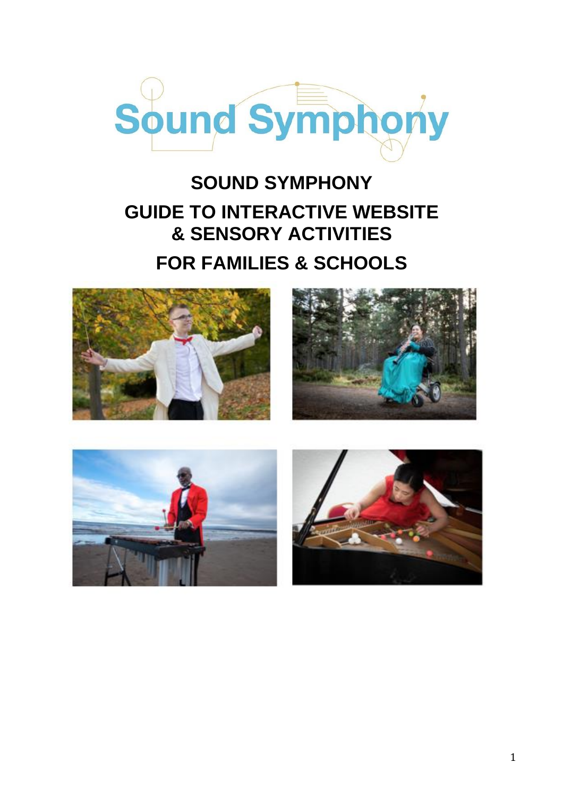

## **SOUND SYMPHONY GUIDE TO INTERACTIVE WEBSITE & SENSORY ACTIVITIES FOR FAMILIES & SCHOOLS**







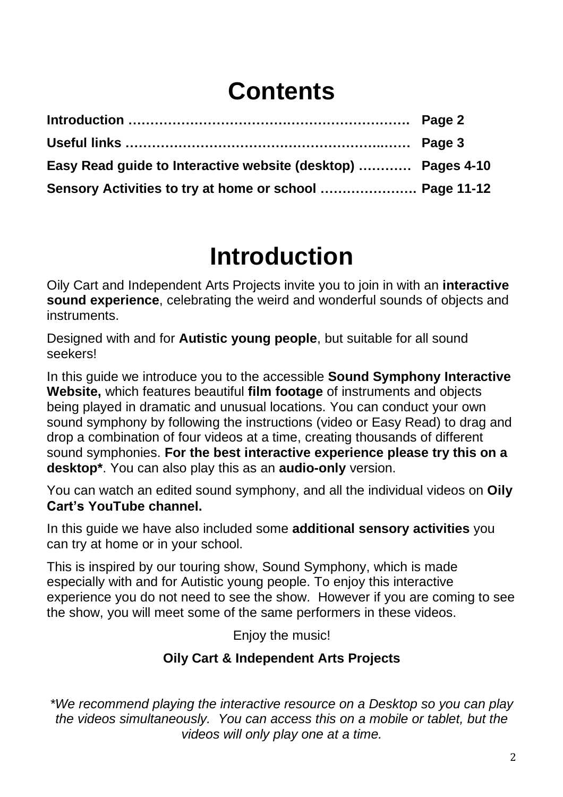## **Contents**

| Easy Read guide to Interactive website (desktop)  Pages 4-10 |  |
|--------------------------------------------------------------|--|
| Sensory Activities to try at home or school  Page 11-12      |  |

# **Introduction**

Oily Cart and Independent Arts Projects invite you to join in with an **interactive sound experience**, celebrating the weird and wonderful sounds of objects and instruments.

Designed with and for **Autistic young people**, but suitable for all sound seekers!

In this guide we introduce you to the accessible **Sound Symphony Interactive Website,** which features beautiful **film footage** of instruments and objects being played in dramatic and unusual locations. You can conduct your own sound symphony by following the instructions (video or Easy Read) to drag and drop a combination of four videos at a time, creating thousands of different sound symphonies. **For the best interactive experience please try this on a desktop\***. You can also play this as an **audio-only** version.

You can watch an edited sound symphony, and all the individual videos on **Oily Cart's YouTube channel.**

In this guide we have also included some **additional sensory activities** you can try at home or in your school.

This is inspired by our touring show, Sound Symphony, which is made especially with and for Autistic young people. To enjoy this interactive experience you do not need to see the show. However if you are coming to see the show, you will meet some of the same performers in these videos.

Enjoy the music!

#### **Oily Cart & Independent Arts Projects**

*\*We recommend playing the interactive resource on a Desktop so you can play the videos simultaneously. You can access this on a mobile or tablet, but the videos will only play one at a time.*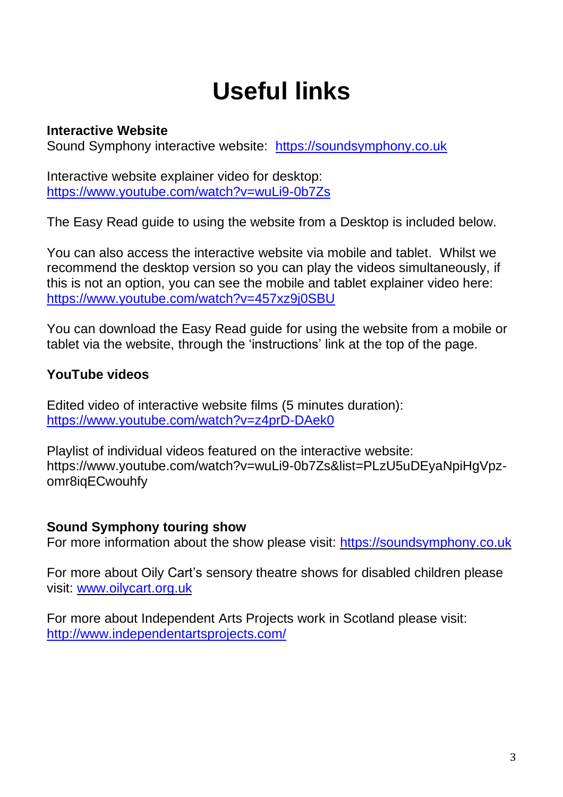# **Useful links**

#### **Interactive Website**

Sound Symphony interactive website: [https://soundsymphony.co.uk](https://soundsymphony.co.uk/)

Interactive website explainer video for desktop: <https://www.youtube.com/watch?v=wuLi9-0b7Zs>

The Easy Read guide to using the website from a Desktop is included below.

You can also access the interactive website via mobile and tablet. Whilst we recommend the desktop version so you can play the videos simultaneously, if this is not an option, you can see the mobile and tablet explainer video here: <https://www.youtube.com/watch?v=457xz9j0SBU>

You can download the Easy Read guide for using the website from a mobile or tablet via the website, through the 'instructions' link at the top of the page.

#### **YouTube videos**

Edited video of interactive website films (5 minutes duration): <https://www.youtube.com/watch?v=z4prD-DAek0>

Playlist of individual videos featured on the interactive website: [https://www.youtube.com/watch?v=wuLi9-0b7Zs&list=PLzU5uDEyaNpiHgVpz](https://www.youtube.com/watch?v=wuLi9-0b7Zs&list=PLzU5uDEyaNpiHgVpz-omr8iqECwouhfy)[omr8iqECwouhfy](https://www.youtube.com/watch?v=wuLi9-0b7Zs&list=PLzU5uDEyaNpiHgVpz-omr8iqECwouhfy)

#### **Sound Symphony touring show**

For more information about the show please visit: [https://soundsymphony.co.uk](https://soundsymphony.co.uk/)

For more about Oily Cart's sensory theatre shows for disabled children please visit: [www.oilycart.org.uk](http://www.oilycart.org.uk/)

For more about Independent Arts Projects work in Scotland please visit: <http://www.independentartsprojects.com/>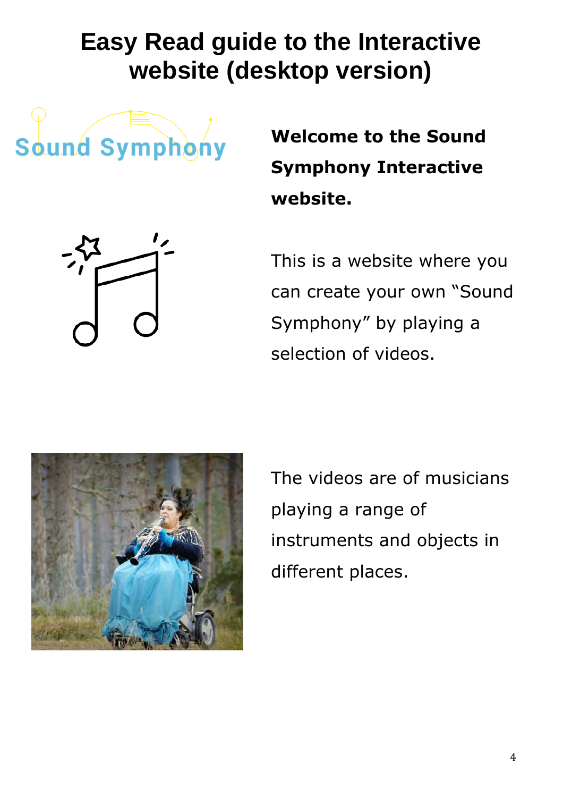# **Easy Read guide to the Interactive website (desktop version)**

Sound Symphony

**Welcome to the Sound Symphony Interactive website.**

This is a website where you can create your own "Sound Symphony" by playing a selection of videos.



The videos are of musicians playing a range of instruments and objects in different places.

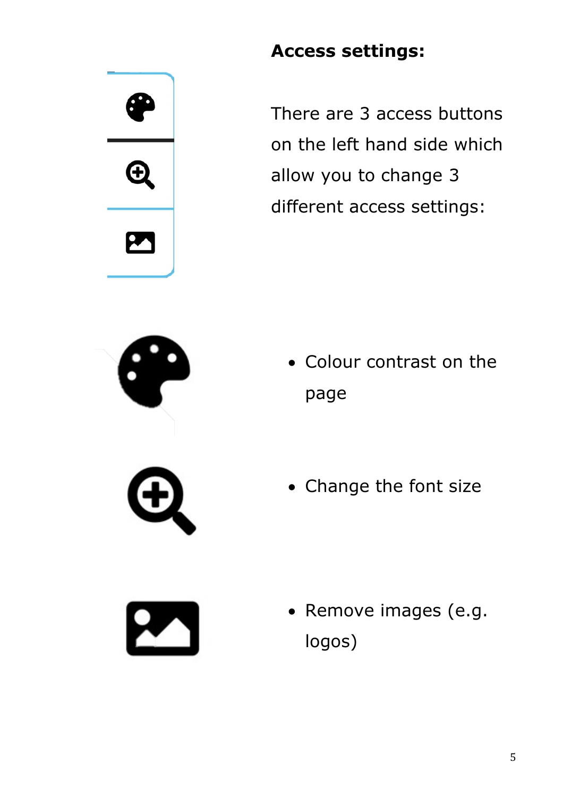# $\boldsymbol{\oplus}$





There are 3 access buttons on the left hand side which allow you to change 3 different access settings:

- Colour contrast on the page
- Change the font size



• Remove images (e.g. logos)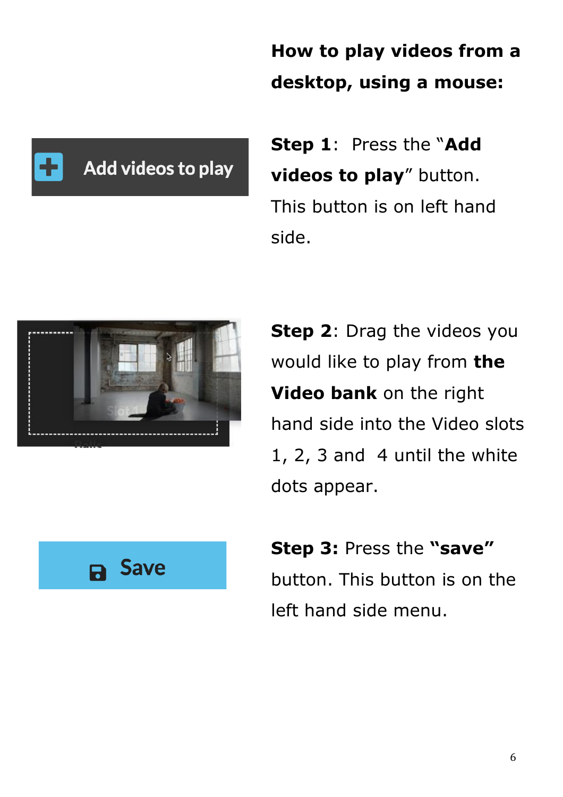## **How to play videos from a desktop, using a mouse:**



**Step 1**: Press the "**Add videos to play**" button. This button is on left hand side.



**Step 2**: Drag the videos you would like to play from **the Video bank** on the right hand side into the Video slots 1, 2, 3 and 4 until the white dots appear.



**Step 3:** Press the **"save"** button. This button is on the left hand side menu.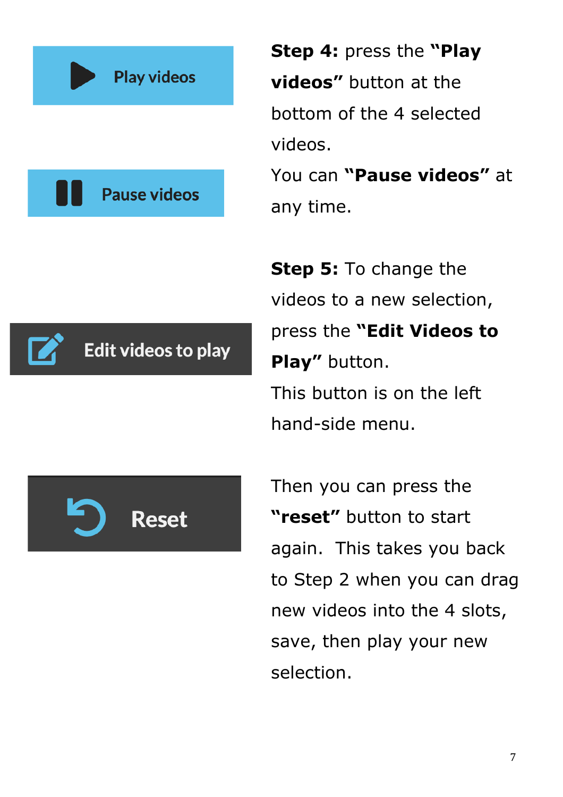

**Step 4:** press the **"Play videos"** button at the bottom of the 4 selected videos.

You can **"Pause videos"** at any time.

**Step 5:** To change the videos to a new selection, press the **"Edit Videos to Play"** button. This button is on the left hand-side menu.



Edit videos to play

Then you can press the **"reset"** button to start again. This takes you back to Step 2 when you can drag new videos into the 4 slots, save, then play your new selection.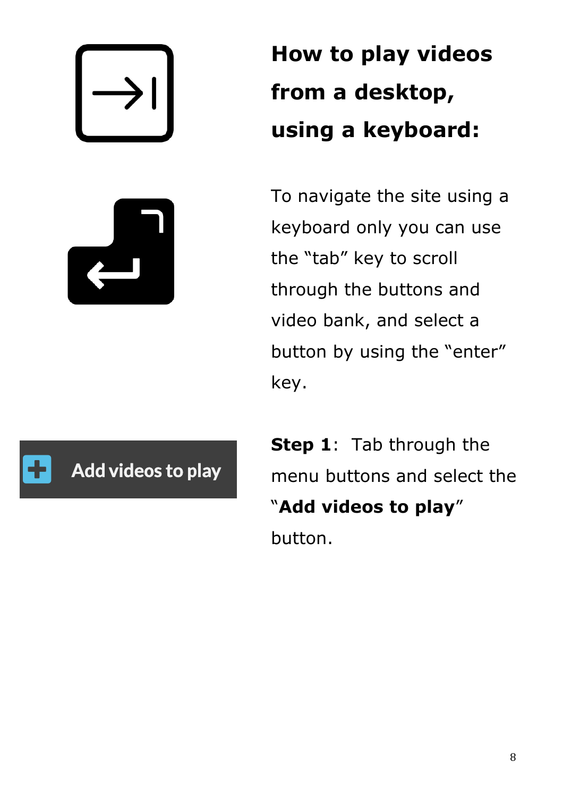

# **How to play videos from a desktop, using a keyboard:**

To navigate the site using a keyboard only you can use the "tab" key to scroll through the buttons and video bank, and select a button by using the "enter" key.



**Step 1**: Tab through the menu buttons and select the "**Add videos to play**" button.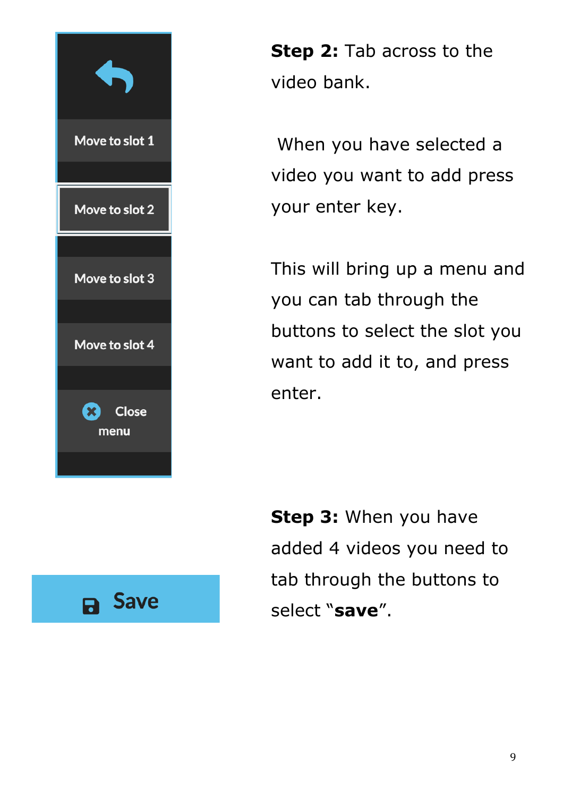



**Step 2:** Tab across to the video bank.

When you have selected a video you want to add press your enter key.

This will bring up a menu and you can tab through the buttons to select the slot you want to add it to, and press enter.

**Step 3:** When you have added 4 videos you need to tab through the buttons to select "**save**".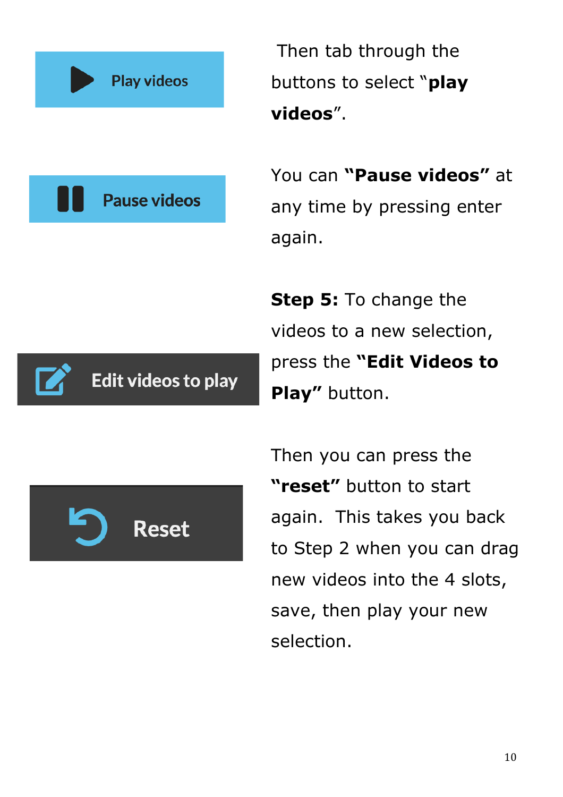

Then tab through the buttons to select "**play videos**".

You can **"Pause videos"** at any time by pressing enter again.

**Step 5:** To change the videos to a new selection, press the **"Edit Videos to Play"** button.



Then you can press the **"reset"** button to start again. This takes you back to Step 2 when you can drag new videos into the 4 slots, save, then play your new selection.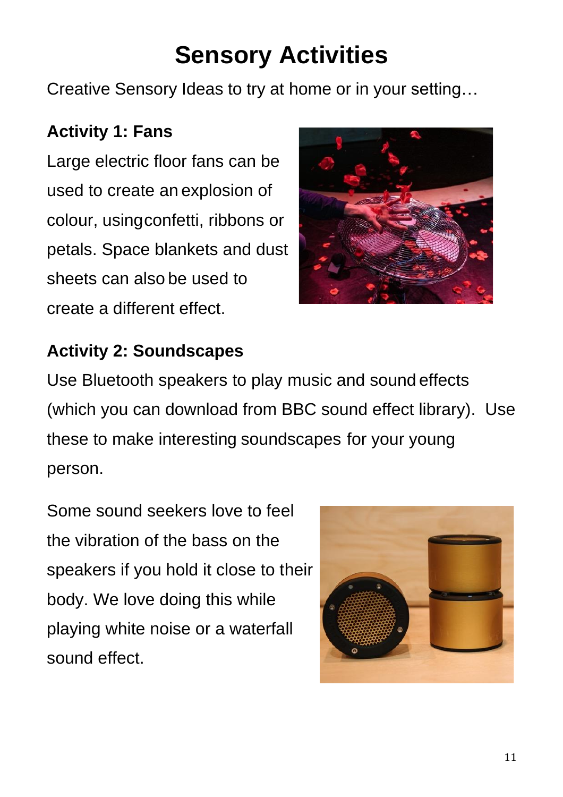# **Sensory Activities**

Creative Sensory Ideas to try at home or in your setting…

#### **Activity 1: Fans**

Large electric floor fans can be used to create an explosion of colour, usingconfetti, ribbons or petals. Space blankets and dust sheets can also be used to create a different effect.



#### **Activity 2: Soundscapes**

Use Bluetooth speakers to play music and sound effects (which you can download from BBC sound effect library). Use these to make interesting soundscapes for your young person.

Some sound seekers love to feel the vibration of the bass on the speakers if you hold it close to their body. We love doing this while playing white noise or a waterfall sound effect.

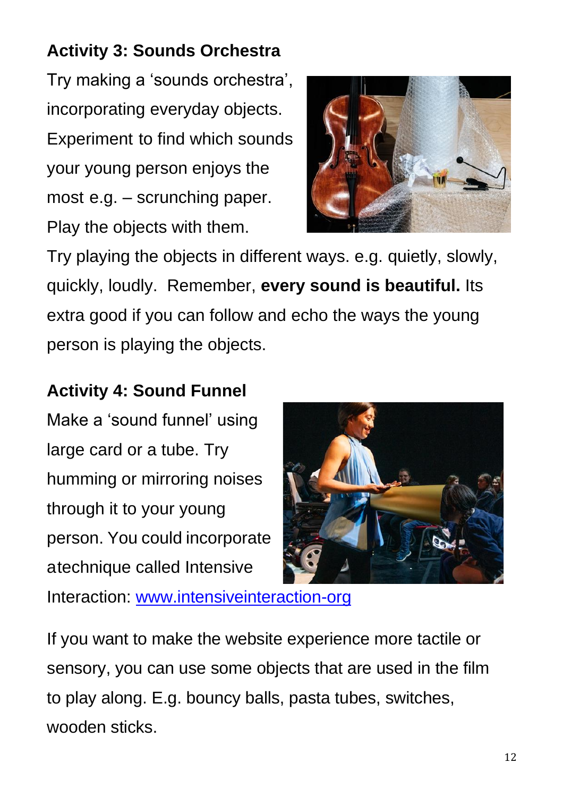## **Activity 3: Sounds Orchestra**

Try making a 'sounds orchestra', incorporating everyday objects. Experiment to find which sounds your young person enjoys the most e.g. – scrunching paper. Play the objects with them.



Try playing the objects in different ways. e.g. quietly, slowly, quickly, loudly. Remember, **every sound is beautiful.** Its extra good if you can follow and echo the ways the young person is playing the objects.

### **Activity 4: Sound Funnel**

Make a 'sound funnel' using large card or a tube. Try humming or mirroring noises through it to your young person. You could incorporate atechnique called Intensive



Interaction: [www.intensiveinteraction-org](http://www.intensiveinteraction-org/)

If you want to make the website experience more tactile or sensory, you can use some objects that are used in the film to play along. E.g. bouncy balls, pasta tubes, switches, wooden sticks.